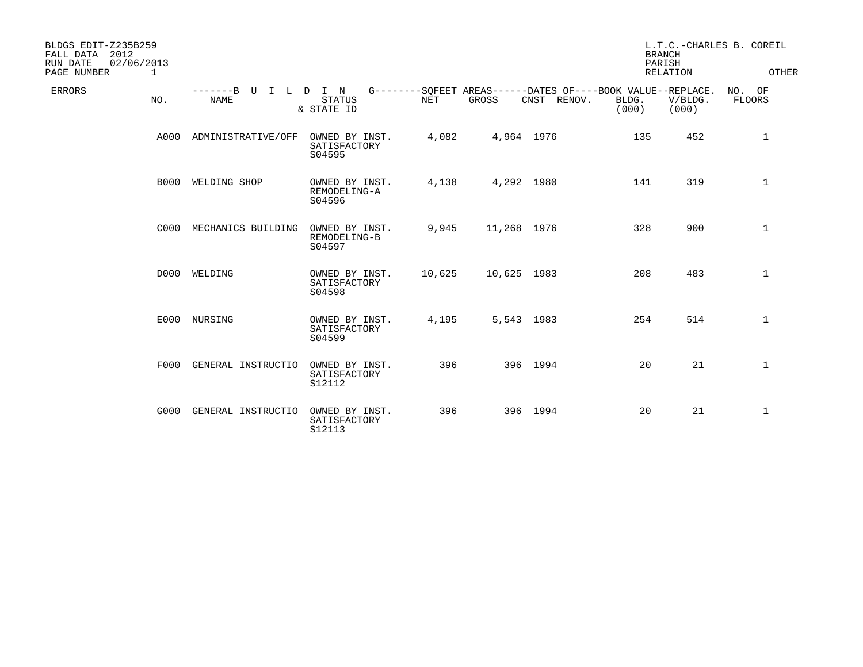| BLDGS EDIT-Z235B259<br>2012<br>FALL DATA<br>02/06/2013<br>RUN DATE<br>PAGE NUMBER<br>1 |                           |                                          |            |             |             | <b>BRANCH</b><br>PARISH                                                       | <b>RELATION</b>  | L.T.C.-CHARLES B. COREIL<br>OTHER |
|----------------------------------------------------------------------------------------|---------------------------|------------------------------------------|------------|-------------|-------------|-------------------------------------------------------------------------------|------------------|-----------------------------------|
| <b>ERRORS</b><br>NO.                                                                   | -------B U<br><b>NAME</b> | ILDIN<br><b>STATUS</b><br>& STATE ID     | <b>NET</b> | GROSS       | CNST RENOV. | G--------SOFEET AREAS------DATES OF----BOOK VALUE--REPLACE.<br>BLDG.<br>(000) | V/BLDG.<br>(000) | NO. OF<br><b>FLOORS</b>           |
| A000                                                                                   | ADMINISTRATIVE/OFF        | OWNED BY INST.<br>SATISFACTORY<br>S04595 | 4,082      | 4,964 1976  |             | 135                                                                           | 452              | 1                                 |
| <b>B000</b>                                                                            | WELDING SHOP              | OWNED BY INST.<br>REMODELING-A<br>S04596 | 4,138      | 4,292 1980  |             | 141                                                                           | 319              | $\mathbf{1}$                      |
| C000                                                                                   | MECHANICS BUILDING        | OWNED BY INST.<br>REMODELING-B<br>S04597 | 9,945      | 11,268 1976 |             | 328                                                                           | 900              | $\mathbf{1}$                      |
| D000                                                                                   | WELDING                   | OWNED BY INST.<br>SATISFACTORY<br>S04598 | 10,625     | 10,625 1983 |             | 208                                                                           | 483              | $\mathbf{1}$                      |
| E000                                                                                   | NURSING                   | OWNED BY INST.<br>SATISFACTORY<br>S04599 | 4,195      | 5,543 1983  |             | 254                                                                           | 514              | 1                                 |
| F000                                                                                   | GENERAL INSTRUCTIO        | OWNED BY INST.<br>SATISFACTORY<br>S12112 | 396        |             | 396 1994    | 20                                                                            | 21               | $\mathbf{1}$                      |
| G000                                                                                   | GENERAL INSTRUCTIO        | OWNED BY INST.<br>SATISFACTORY<br>S12113 | 396        |             | 396 1994    | 20                                                                            | 21               | 1                                 |